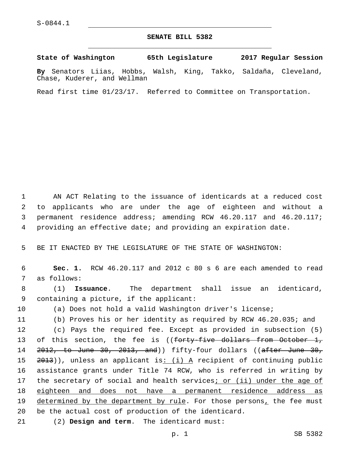Chase, Kuderer, and Wellman

## **SENATE BILL 5382**

**State of Washington 65th Legislature 2017 Regular Session By** Senators Liias, Hobbs, Walsh, King, Takko, Saldaña, Cleveland,

Read first time 01/23/17. Referred to Committee on Transportation.

 AN ACT Relating to the issuance of identicards at a reduced cost to applicants who are under the age of eighteen and without a permanent residence address; amending RCW 46.20.117 and 46.20.117; providing an effective date; and providing an expiration date.

5 BE IT ENACTED BY THE LEGISLATURE OF THE STATE OF WASHINGTON:

6 **Sec. 1.** RCW 46.20.117 and 2012 c 80 s 6 are each amended to read 7 as follows:

8 (1) **Issuance**. The department shall issue an identicard, 9 containing a picture, if the applicant:

10 (a) Does not hold a valid Washington driver's license;

11 (b) Proves his or her identity as required by RCW 46.20.035; and

 (c) Pays the required fee. Except as provided in subsection (5) 13 of this section, the fee is ((<del>forty-five dollars from October 1,</del> 2012, to June 30, 2013, and)) fifty-four dollars ((after June 30,  $2013$ ), unless an applicant is: (i) A recipient of continuing public assistance grants under Title 74 RCW, who is referred in writing by 17 the secretary of social and health services<sub>i or (ii)</sub> under the age of eighteen and does not have a permanent residence address as 19 determined by the department by rule. For those persons, the fee must be the actual cost of production of the identicard.

(2) **Design and term**. The identicard must:21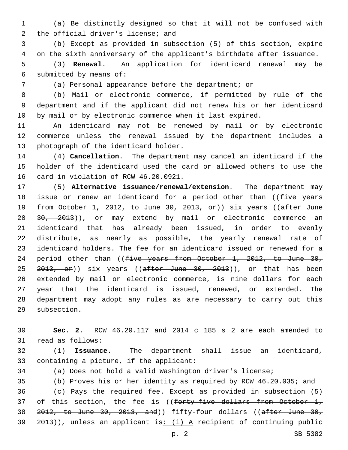(a) Be distinctly designed so that it will not be confused with 2 the official driver's license; and

 (b) Except as provided in subsection (5) of this section, expire on the sixth anniversary of the applicant's birthdate after issuance.

 (3) **Renewal**. An application for identicard renewal may be 6 submitted by means of:

(a) Personal appearance before the department; or

 (b) Mail or electronic commerce, if permitted by rule of the department and if the applicant did not renew his or her identicard by mail or by electronic commerce when it last expired.

 An identicard may not be renewed by mail or by electronic commerce unless the renewal issued by the department includes a 13 photograph of the identicard holder.

 (4) **Cancellation**. The department may cancel an identicard if the holder of the identicard used the card or allowed others to use the 16 card in violation of RCW 46.20.0921.

 (5) **Alternative issuance/renewal/extension**. The department may 18 issue or renew an identicard for a period other than ((five years 19 from October 1, 2012, to June 30, 2013, or)) six years ((after June 20 30, 2013)), or may extend by mail or electronic commerce an identicard that has already been issued, in order to evenly distribute, as nearly as possible, the yearly renewal rate of identicard holders. The fee for an identicard issued or renewed for a 24 period other than ((five years from October 1, 2012, to June 30, 25 <del>2013, or</del>)) six years ((after June 30, 2013)), or that has been extended by mail or electronic commerce, is nine dollars for each year that the identicard is issued, renewed, or extended. The department may adopt any rules as are necessary to carry out this 29 subsection.

 **Sec. 2.** RCW 46.20.117 and 2014 c 185 s 2 are each amended to 31 read as follows:

 (1) **Issuance**. The department shall issue an identicard, 33 containing a picture, if the applicant:

(a) Does not hold a valid Washington driver's license;

 (b) Proves his or her identity as required by RCW 46.20.035; and (c) Pays the required fee. Except as provided in subsection (5) 37 of this section, the fee is ((forty-five dollars from October 1, 2012, to June 30, 2013, and)) fifty-four dollars ((after June 30, )), unless an applicant is:  $(i)$  A recipient of continuing public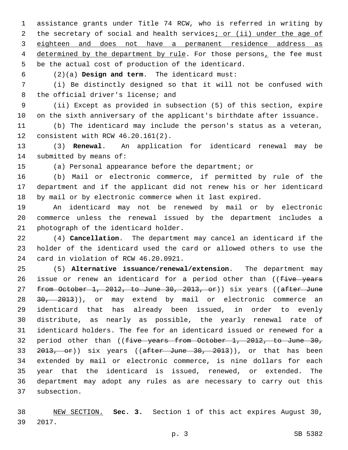assistance grants under Title 74 RCW, who is referred in writing by 2 the secretary of social and health services; or (ii) under the age of eighteen and does not have a permanent residence address as 4 determined by the department by rule. For those persons, the fee must be the actual cost of production of the identicard.

(2)(a) **Design and term**. The identicard must:6

 (i) Be distinctly designed so that it will not be confused with 8 the official driver's license; and

 (ii) Except as provided in subsection (5) of this section, expire on the sixth anniversary of the applicant's birthdate after issuance.

 (b) The identicard may include the person's status as a veteran, 12 consistent with RCW 46.20.161(2).

 (3) **Renewal**. An application for identicard renewal may be 14 submitted by means of:

(a) Personal appearance before the department; or

 (b) Mail or electronic commerce, if permitted by rule of the department and if the applicant did not renew his or her identicard by mail or by electronic commerce when it last expired.

 An identicard may not be renewed by mail or by electronic commerce unless the renewal issued by the department includes a 21 photograph of the identicard holder.

 (4) **Cancellation**. The department may cancel an identicard if the holder of the identicard used the card or allowed others to use the 24 card in violation of RCW 46.20.0921.

 (5) **Alternative issuance/renewal/extension**. The department may 26 issue or renew an identicard for a period other than ((five years 27 from October 1, 2012, to June 30, 2013, or)) six years ((after June 28 30, 2013)), or may extend by mail or electronic commerce an identicard that has already been issued, in order to evenly distribute, as nearly as possible, the yearly renewal rate of identicard holders. The fee for an identicard issued or renewed for a 32 period other than ((five years from October 1, 2012, to June 30, 33 2013, or)) six years ((after June 30, 2013)), or that has been extended by mail or electronic commerce, is nine dollars for each year that the identicard is issued, renewed, or extended. The department may adopt any rules as are necessary to carry out this 37 subsection.

 NEW SECTION. **Sec. 3.** Section 1 of this act expires August 30, 2017.